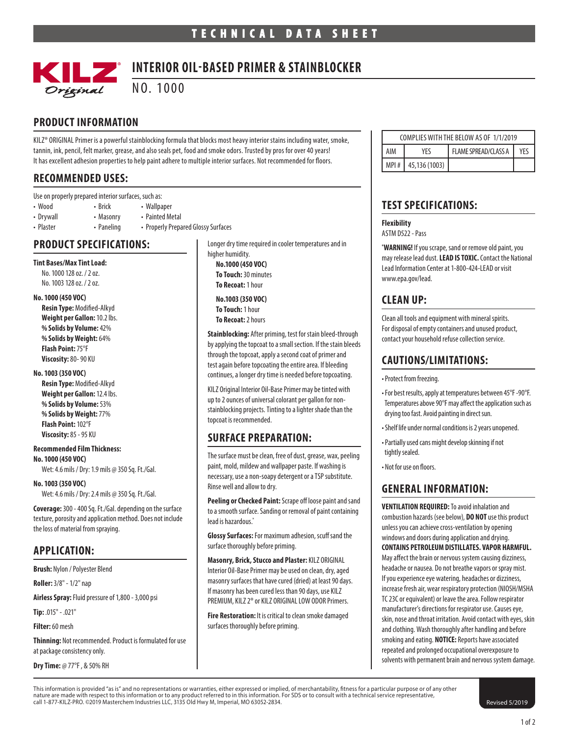

# **INTERIOR OIL-BASED PRIMER & STAINBLOCKER**

NO. 1000

### **PRODUCT INFORMATION**

KILZ® ORIGINAL Primer is a powerful stainblocking formula that blocks most heavy interior stains including water, smoke, tannin, ink, pencil, felt marker, grease, and also seals pet, food and smoke odors. Trusted by pros for over 40 years! It has excellent adhesion properties to help paint adhere to multiple interior surfaces. Not recommended for floors.

### **RECOMMENDED USES:**

|  | Use on properly prepared interior surfaces, such as: |
|--|------------------------------------------------------|
|--|------------------------------------------------------|

- Wood Brick Wallpaper
- 
- Drywall Masonry Painted Metal • Plaster • Paneling • Properly Prepared Glossy Surfaces

**PRODUCT SPECIFICATIONS:**

#### **Tint Bases/Max Tint Load:**

No. 1000 128 oz. / 2 oz. No. 1003 128 oz. / 2 oz.

#### **No. 1000 (450 VOC)**

**Resin Type:** Modified-Alkyd **Weight per Gallon:** 10.2 lbs. **% Solids by Volume:** 42% **% Solids by Weight:** 64% **Flash Point:** 75°F **Viscosity:** 80- 90 KU

#### **No. 1003 (350 VOC)**

**Resin Type:** Modified-Alkyd **Weight per Gallon:** 12.4 lbs. **% Solids by Volume:** 53% **% Solids by Weight:** 77% **Flash Point:** 102°F **Viscosity:** 85 - 95 KU

#### **Recommended Film Thickness:**

**No. 1000 (450 VOC)** Wet: 4.6 mils / Dry: 1.9 mils @ 350 Sq. Ft./Gal.

**No. 1003 (350 VOC)** Wet: 4.6 mils / Dry: 2.4 mils @ 350 Sq. Ft./Gal.

**Coverage:** 300 - 400 Sq. Ft./Gal. depending on the surface texture, porosity and application method. Does not include the loss of material from spraying.

### **APPLICATION:**

**Brush:** Nylon / Polyester Blend

**Roller:** 3/8" - 1/2" nap

**Airless Spray:** Fluid pressure of 1,800 - 3,000 psi

**Tip:** .015" - .021"

**Filter:** 60 mesh

**Thinning:** Not recommended. Product is formulated for use at package consistency only.

**Dry Time:** @ 77°F , & 50% RH

Longer dry time required in cooler temperatures and in higher humidity. **No.1000 (450 VOC) To Touch:** 30 minutes **To Recoat:** 1 hour

#### **No.1003 (350 VOC)**

**To Touch:** 1 hour **To Recoat:** 2 hours

**Stainblocking:** After priming, test for stain bleed-through by applying the topcoat to a small section. If the stain bleeds through the topcoat, apply a second coat of primer and test again before topcoating the entire area. If bleeding continues, a longer dry time is needed before topcoating.

KILZ Original Interior Oil-Base Primer may be tinted with up to 2 ounces of universal colorant per gallon for nonstainblocking projects. Tinting to a lighter shade than the topcoat is recommended.

### **SURFACE PREPARATION:**

The surface must be clean, free of dust, grease, wax, peeling paint, mold, mildew and wallpaper paste. If washing is necessary, use a non-soapy detergent or a TSP substitute. Rinse well and allow to dry.

**Peeling or Checked Paint:** Scrape off loose paint and sand to a smooth surface. Sanding or removal of paint containing lead is hazardous.<sup>\*</sup>

**Glossy Surfaces:** For maximum adhesion, scuff sand the surface thoroughly before priming.

**Masonry, Brick, Stucco and Plaster:** KILZ ORIGINAL Interior Oil-Base Primer may be used on clean, dry, aged masonry surfaces that have cured (dried) at least 90 days. If masonry has been cured less than 90 days, use KILZ PREMIUM, KILZ 2® or KILZ ORIGINAL LOW ODOR Primers.

**Fire Restoration:** It is critical to clean smoke damaged surfaces thoroughly before priming.

| COMPLIES WITH THE BELOW AS OF 1/1/2019 |                       |                             |            |
|----------------------------------------|-----------------------|-----------------------------|------------|
| AIM                                    | YFς                   | <b>FLAME SPREAD/CLASS A</b> | <b>YFS</b> |
|                                        | MPI #   45,136 (1003) |                             |            |

## **TEST SPECIFICATIONS:**

### **Flexibility**

ASTM D522 - Pass

**\* WARNING!** If you scrape, sand or remove old paint, you may release lead dust. **LEAD IS TOXIC.** Contact the National Lead Information Center at 1-800-424-LEAD or visit www.epa.gov/lead.

## **CLEAN UP:**

Clean all tools and equipment with mineral spirits. For disposal of empty containers and unused product, contact your household refuse collection service.

## **CAUTIONS/LIMITATIONS:**

- •Protect from freezing.
- For best results, apply at temperatures between 45°F -90°F. Temperatures above 90°F may affect the application such as drying too fast. Avoid painting in direct sun.
- Shelf life under normal conditions is 2 years unopened.
- Partially used cans might develop skinning if not tightly sealed.

• Not for use on floors.

### **GENERAL INFORMATION:**

**VENTILATION REQUIRED:** To avoid inhalation and combustion hazards (see below), **DO NOT** use this product unless you can achieve cross-ventilation by opening windows and doors during application and drying. **CONTAINS PETROLEUM DISTILLATES. VAPOR HARMFUL.** May affect the brain or nervous system causing dizziness, headache or nausea. Do not breathe vapors or spray mist. If you experience eye watering, headaches or dizziness, increase fresh air, wear respiratory protection (NIOSH/MSHA TC 23C or equivalent) or leave the area. Follow respirator manufacturer's directions for respirator use. Causes eye, skin, nose and throat irritation. Avoid contact with eyes, skin and clothing. Wash thoroughly after handling and before smoking and eating. **NOTICE:** Reports have associated repeated and prolonged occupational overexposure to solvents with permanent brain and nervous system damage.

This information is provided "as is" and no representations or warranties, either expressed or implied, of merchantability, fitness for a particular purpose or of any other nature are made with respect to this information or to any product referred to in this information. For SDS or to consult with a technical service representative, call 1-877-KILZ-PRO. ©2019 Masterchem Industries LLC, 3135 Old Hwy M, Imperial, MO 63052-2834. Revised 5/2019